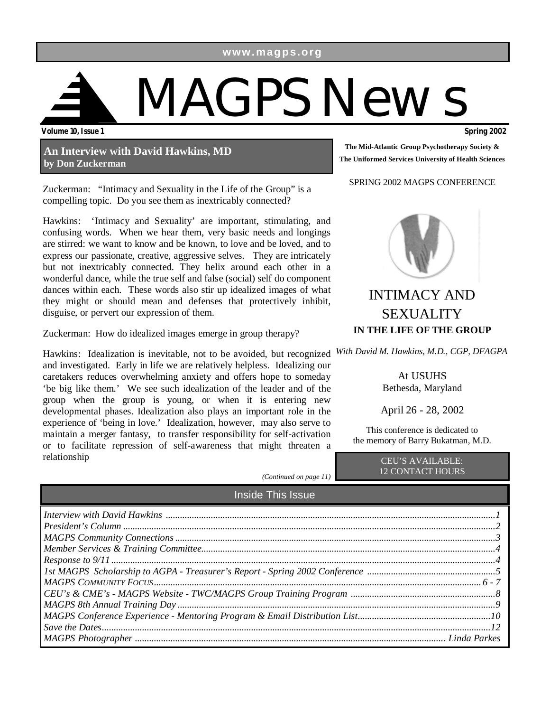**www.magps.org** 

# **Volume 10, Issue 1 Spring 2002**  MAGPS News

**An Interview with David Hawkins, MD by Don Zuckerman** 

Zuckerman: "Intimacy and Sexuality in the Life of the Group" is a compelling topic. Do you see them as inextricably connected?

Hawkins: 'Intimacy and Sexuality' are important, stimulating, and confusing words. When we hear them, very basic needs and longings are stirred: we want to know and be known, to love and be loved, and to express our passionate, creative, aggressive selves. They are intricately but not inextricably connected. They helix around each other in a wonderful dance, while the true self and false (social) self do component dances within each. These words also stir up idealized images of what they might or should mean and defenses that protectively inhibit, disguise, or pervert our expression of them.

Zuckerman: How do idealized images emerge in group therapy?

Hawkins: Idealization is inevitable, not to be avoided, but recognized and investigated. Early in life we are relatively helpless. Idealizing our caretakers reduces overwhelming anxiety and offers hope to someday 'be big like them.' We see such idealization of the leader and of the group when the group is young, or when it is entering new developmental phases. Idealization also plays an important role in the experience of 'being in love.' Idealization, however, may also serve to maintain a merger fantasy, to transfer responsibility for self-activation or to facilitate repression of self-awareness that might threaten a relationship



SPRING 2002 MAGPS CONFERENCE



## INTIMACY AND SEXUALITY **IN THE LIFE OF THE GROUP**

*With David M. Hawkins, M.D., CGP, DFAGPA* 

At USUHS Bethesda, Maryland

April 26 - 28, 2002

This conference is dedicated to the memory of Barry Bukatman, M.D.

> CEU'S AVAILABLE: 12 CONTACT HOURS

*(Continued on page 11)* 

Inside This Issue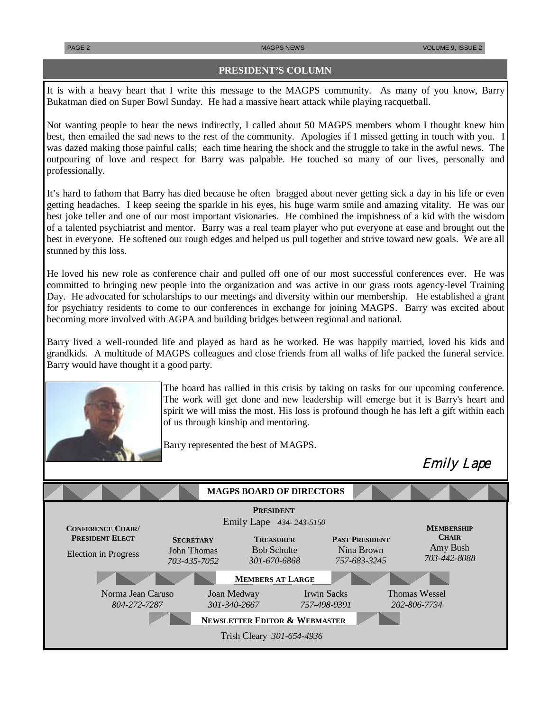Emily Lape

### **PRESIDENT'S COLUMN**

It is with a heavy heart that I write this message to the MAGPS community. As many of you know, Barry Bukatman died on Super Bowl Sunday. He had a massive heart attack while playing racquetball.

Not wanting people to hear the news indirectly, I called about 50 MAGPS members whom I thought knew him best, then emailed the sad news to the rest of the community. Apologies if I missed getting in touch with you. I was dazed making those painful calls; each time hearing the shock and the struggle to take in the awful news. The outpouring of love and respect for Barry was palpable. He touched so many of our lives, personally and professionally.

It's hard to fathom that Barry has died because he often bragged about never getting sick a day in his life or even getting headaches. I keep seeing the sparkle in his eyes, his huge warm smile and amazing vitality. He was our best joke teller and one of our most important visionaries. He combined the impishness of a kid with the wisdom of a talented psychiatrist and mentor. Barry was a real team player who put everyone at ease and brought out the best in everyone. He softened our rough edges and helped us pull together and strive toward new goals. We are all stunned by this loss.

He loved his new role as conference chair and pulled off one of our most successful conferences ever. He was committed to bringing new people into the organization and was active in our grass roots agency-level Training Day. He advocated for scholarships to our meetings and diversity within our membership. He established a grant for psychiatry residents to come to our conferences in exchange for joining MAGPS. Barry was excited about becoming more involved with AGPA and building bridges between regional and national.

Barry lived a well-rounded life and played as hard as he worked. He was happily married, loved his kids and grandkids. A multitude of MAGPS colleagues and close friends from all walks of life packed the funeral service. Barry would have thought it a good party.



The board has rallied in this crisis by taking on tasks for our upcoming conference. The work will get done and new leadership will emerge but it is Barry's heart and spirit we will miss the most. His loss is profound though he has left a gift within each of us through kinship and mentoring.

Barry represented the best of MAGPS.

Norma Jean Caruso *804-272-7287*  Thomas Wessel *202-806-7734*  **MEMBERSHIP CHAIR** Amy Bush *703-442-8088*  **SECRETARY** John Thomas *703-435-7052* **PAST PRESIDENT** Nina Brown *757-683-3245*  Joan Medway *301-340-2667*  **CONFERENCE CHAIR/ PRESIDENT ELECT** Election in Progress Irwin Sacks *757-498-9391*  **TREASURER** Bob Schulte *301-670-6868* **PRESIDENT**  Emily Lape *434- 243-5150* Trish Cleary *301-654-4936*  **NEWSLETTER EDITOR & WEBMASTER MEMBERS AT LARGE MAGPS BOARD OF DIRECTORS**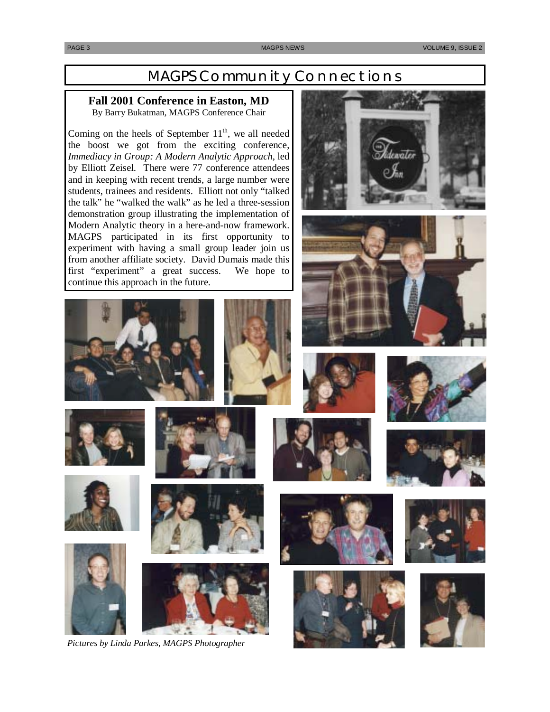## MAGPS Community Connections

## **Fall 2001 Conference in Easton, MD**

By Barry Bukatman, MAGPS Conference Chair

Coming on the heels of September  $11<sup>th</sup>$ , we all needed the boost we got from the exciting conference, *Immediacy in Group: A Modern Analytic Approach*, led by Elliott Zeisel. There were 77 conference attendees and in keeping with recent trends, a large number were students, trainees and residents. Elliott not only "talked the talk" he "walked the walk" as he led a three-session demonstration group illustrating the implementation of Modern Analytic theory in a here-and-now framework. MAGPS participated in its first opportunity to experiment with having a small group leader join us from another affiliate society. David Dumais made this first "experiment" a great success. We hope to continue this approach in the future.



















*Pictures by Linda Parkes, MAGPS Photographer* 









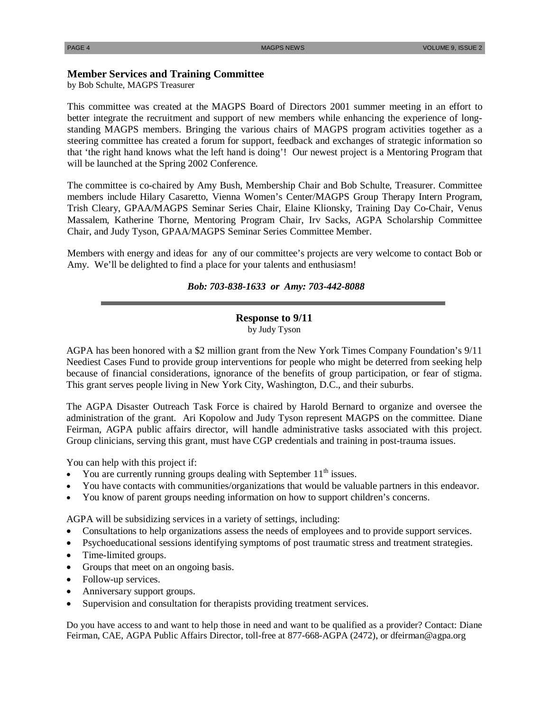### **Member Services and Training Committee**

by Bob Schulte, MAGPS Treasurer

This committee was created at the MAGPS Board of Directors 2001 summer meeting in an effort to better integrate the recruitment and support of new members while enhancing the experience of longstanding MAGPS members. Bringing the various chairs of MAGPS program activities together as a steering committee has created a forum for support, feedback and exchanges of strategic information so that 'the right hand knows what the left hand is doing'! Our newest project is a Mentoring Program that will be launched at the Spring 2002 Conference.

The committee is co-chaired by Amy Bush, Membership Chair and Bob Schulte, Treasurer. Committee members include Hilary Casaretto, Vienna Women's Center/MAGPS Group Therapy Intern Program, Trish Cleary, GPAA/MAGPS Seminar Series Chair, Elaine Klionsky, Training Day Co-Chair, Venus Massalem, Katherine Thorne, Mentoring Program Chair, Irv Sacks, AGPA Scholarship Committee Chair, and Judy Tyson, GPAA/MAGPS Seminar Series Committee Member.

Members with energy and ideas for any of our committee's projects are very welcome to contact Bob or Amy. We'll be delighted to find a place for your talents and enthusiasm!

### *Bob: 703-838-1633 or Amy: 703-442-8088*

### **Response to 9/11**

by Judy Tyson

AGPA has been honored with a \$2 million grant from the New York Times Company Foundation's 9/11 Neediest Cases Fund to provide group interventions for people who might be deterred from seeking help because of financial considerations, ignorance of the benefits of group participation, or fear of stigma. This grant serves people living in New York City, Washington, D.C., and their suburbs.

The AGPA Disaster Outreach Task Force is chaired by Harold Bernard to organize and oversee the administration of the grant. Ari Kopolow and Judy Tyson represent MAGPS on the committee. Diane Feirman, AGPA public affairs director, will handle administrative tasks associated with this project. Group clinicians, serving this grant, must have CGP credentials and training in post-trauma issues.

You can help with this project if:

- You are currently running groups dealing with September  $11<sup>th</sup>$  issues.
- You have contacts with communities/organizations that would be valuable partners in this endeavor.
- You know of parent groups needing information on how to support children's concerns.

AGPA will be subsidizing services in a variety of settings, including:

- Consultations to help organizations assess the needs of employees and to provide support services.
- Psychoeducational sessions identifying symptoms of post traumatic stress and treatment strategies.
- Time-limited groups.
- Groups that meet on an ongoing basis.
- Follow-up services.
- Anniversary support groups.
- Supervision and consultation for therapists providing treatment services.

Do you have access to and want to help those in need and want to be qualified as a provider? Contact: Diane Feirman, CAE, AGPA Public Affairs Director, toll-free at 877-668-AGPA (2472), or dfeirman@agpa.org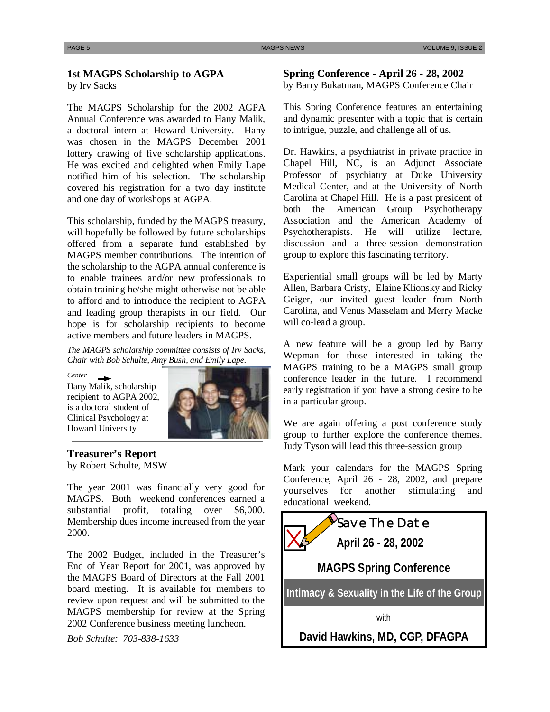## **1st MAGPS Scholarship to AGPA**

by Irv Sacks

The MAGPS Scholarship for the 2002 AGPA Annual Conference was awarded to Hany Malik, a doctoral intern at Howard University. Hany was chosen in the MAGPS December 2001 lottery drawing of five scholarship applications. He was excited and delighted when Emily Lape notified him of his selection. The scholarship covered his registration for a two day institute and one day of workshops at AGPA.

This scholarship, funded by the MAGPS treasury, will hopefully be followed by future scholarships offered from a separate fund established by MAGPS member contributions. The intention of the scholarship to the AGPA annual conference is to enable trainees and/or new professionals to obtain training he/she might otherwise not be able to afford and to introduce the recipient to AGPA and leading group therapists in our field. Our hope is for scholarship recipients to become active members and future leaders in MAGPS.

*The MAGPS scholarship committee consists of Irv Sacks, Chair with Bob Schulte, Amy Bush, and Emily Lape.* 

*Center* 

Hany Malik, scholarship recipient to AGPA 2002, is a doctoral student of Clinical Psychology at Howard University



**Treasurer's Report**  by Robert Schulte, MSW

The year 2001 was financially very good for MAGPS. Both weekend conferences earned a substantial profit, totaling over \$6,000. Membership dues income increased from the year 2000.

The 2002 Budget, included in the Treasurer's End of Year Report for 2001, was approved by the MAGPS Board of Directors at the Fall 2001 board meeting. It is available for members to review upon request and will be submitted to the MAGPS membership for review at the Spring 2002 Conference business meeting luncheon.

*Bob Schulte: 703-838-1633* 

### **Spring Conference - April 26 - 28, 2002**  by Barry Bukatman, MAGPS Conference Chair

This Spring Conference features an entertaining and dynamic presenter with a topic that is certain to intrigue, puzzle, and challenge all of us.

Dr. Hawkins, a psychiatrist in private practice in Chapel Hill, NC, is an Adjunct Associate Professor of psychiatry at Duke University Medical Center, and at the University of North Carolina at Chapel Hill. He is a past president of both the American Group Psychotherapy Association and the American Academy of Psychotherapists. He will utilize lecture, discussion and a three-session demonstration group to explore this fascinating territory.

Experiential small groups will be led by Marty Allen, Barbara Cristy, Elaine Klionsky and Ricky Geiger, our invited guest leader from North Carolina, and Venus Masselam and Merry Macke will co-lead a group.

A new feature will be a group led by Barry Wepman for those interested in taking the MAGPS training to be a MAGPS small group conference leader in the future. I recommend early registration if you have a strong desire to be in a particular group.

We are again offering a post conference study group to further explore the conference themes. Judy Tyson will lead this three-session group

Mark your calendars for the MAGPS Spring Conference, April 26 - 28, 2002, and prepare yourselves for another stimulating and educational weekend.

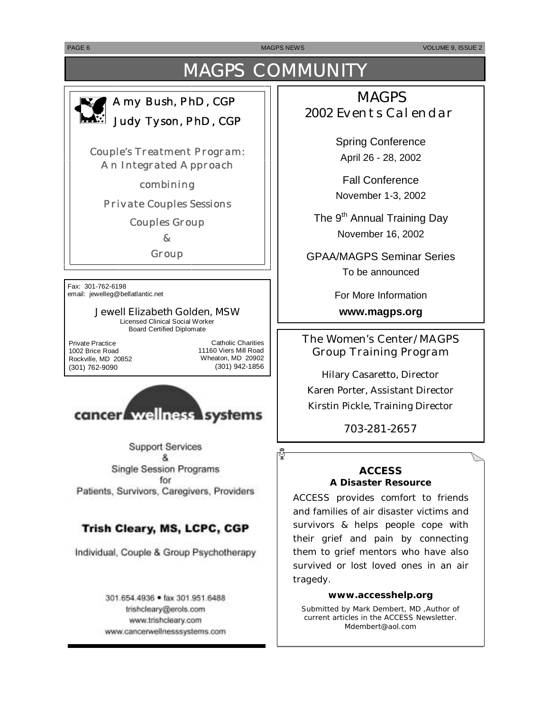PAGE 6 MAGPS NEWS VOLUME 9, ISSUE 2

# MAGPS COMMUNITY

## *Amy Bush, PhD, CGP Judy Tyson, PhD, CGP*

*Couple's Treatment Program: An Integrated Approach* 

*combining* 

*Private Couples Sessions* 

*Couples Group* 

*&* 

*Group* 

Fax: 301-762-6198 email: jewelleg@bellatlantic.net

### **Jewell Elizabeth Golden, MSW**  Licensed Clinical Social Worker

Board Certified Diplomate

Private Practice 1002 Brice Road Rockville, MD 20852 (301) 762-9090

Catholic Charities 11160 Viers Mill Road Wheaton, MD 20902 (301) 942-1856

ర్



**Support Services** 8. Single Session Programs for Patients, Survivors, Caregivers, Providers

## Trish Cleary, MS, LCPC, CGP

Individual, Couple & Group Psychotherapy

301.654.4936 · fax 301.951.6488 trishcleary@erols.com www.trishcleary.com www.cancerwellnesssystems.com

## **MAGPS** 2002 Events Calendar

Spring Conference April 26 - 28, 2002

Fall Conference November 1-3, 2002

The 9<sup>th</sup> Annual Training Day November 16, 2002

GPAA/MAGPS Seminar Series To be announced

For More Information

**www.magps.org** 

## *The Women's Center/MAGPS Group Training Program*

Hilary Casaretto, Director Karen Porter, Assistant Director Kirstin Pickle, Training Director

### 703-281-2657

### **ACCESS A Disaster Resource**

ACCESS provides comfort to friends and families of air disaster victims and survivors & helps people cope with their grief and pain by connecting them to grief mentors who have also survived or lost loved ones in an air tragedy.

### **www.accesshelp.org**

*Submitted by Mark Dembert, MD ,Author of current articles in the ACCESS Newsletter.*  Mdembert@aol.com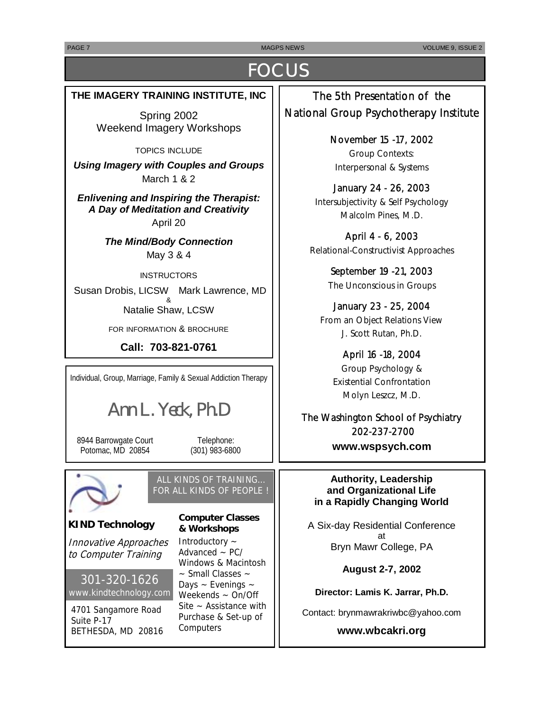PAGE 7 MAGPS NEWS ASSESSMENT OF THE MAGPS NEWS AND ACCOUNT OF THE VOLUME 9, ISSUE 2

# **FOCUS**

### **THE IMAGERY TRAINING INSTITUTE, INC**

Spring 2002 Weekend Imagery Workshops

TOPICS INCLUDE

*Using Imagery with Couples and Groups*  March 1 & 2

*Enlivening and Inspiring the Therapist: A Day of Meditation and Creativity*  April 20

> *The Mind/Body Connection*  May 3 & 4

**INSTRUCTORS**  Susan Drobis, LICSW Mark Lawrence, MD & Natalie Shaw, LCSW

FOR INFORMATION & BROCHURE

**Call: 703-821-0761** 

Individual, Group, Marriage, Family & Sexual Addiction Therapy

*Ann L. Yeck, Ph.D* 

8944 Barrowgate Court Potomac, MD 20854

Telephone: (301) 983-6800



## ALL KINDS OF TRAINING… FOR ALL KINDS OF PEOPLE !

### **KIND Technology**

Innovative Approaches to Computer Training

301-320-1626 www.kindtechnology.com

4701 Sangamore Road Suite P-17 BETHESDA, MD 20816 **Computer Classes & Workshops** 

Introductory ~ Advanced  $\sim$  PC/ Windows & Macintosh ~ Small Classes ~ Days  $\sim$  Evenings  $\sim$ Weekends ~ On/Off Site  $\sim$  Assistance with Purchase & Set-up of **Computers** 

The 5th Presentation of the National Group Psychotherapy Institute

> November 15 -17, 2002 Group Contexts: Interpersonal & Systems

January 24 - 26, 2003 Intersubjectivity & Self Psychology Malcolm Pines, M.D.

April 4 - 6, 2003 Relational-Constructivist Approaches

> September 19 -21, 2003 The Unconscious in Groups

January 23 - 25, 2004 From an Object Relations View J. Scott Rutan, Ph.D.

> April 16 -18, 2004 Group Psychology & Existential Confrontation Molyn Leszcz, M.D.

The Washington School of Psychiatry 202-237-2700 **www.wspsych.com** 

**Authority, Leadership and Organizational Life in a Rapidly Changing World**

A Six-day Residential Conference at Bryn Mawr College, PA

**August 2-7, 2002** 

**Director: Lamis K. Jarrar, Ph.D.**

Contact: brynmawrakriwbc@yahoo.com

**www.wbcakri.org**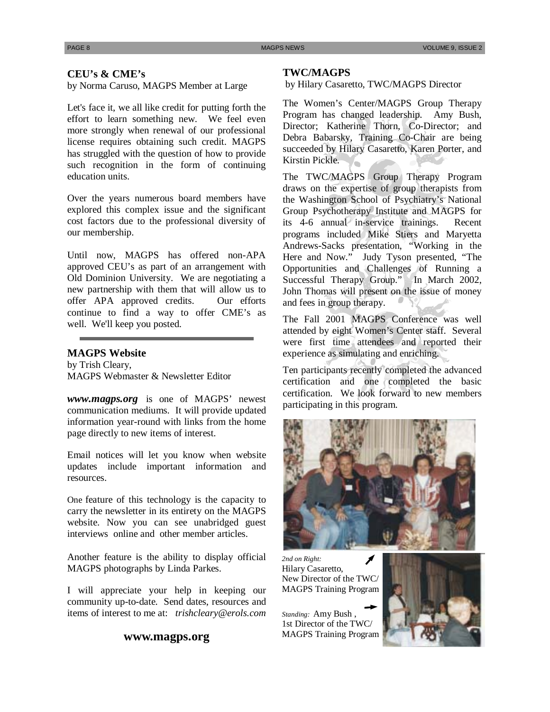### **CEU's & CME's**

by Norma Caruso, MAGPS Member at Large

Let's face it, we all like credit for putting forth the effort to learn something new. We feel even more strongly when renewal of our professional license requires obtaining such credit. MAGPS has struggled with the question of how to provide such recognition in the form of continuing education units.

Over the years numerous board members have explored this complex issue and the significant cost factors due to the professional diversity of our membership.

Until now, MAGPS has offered non-APA approved CEU's as part of an arrangement with Old Dominion University. We are negotiating a new partnership with them that will allow us to offer APA approved credits. Our efforts continue to find a way to offer CME's as well. We'll keep you posted.

### **MAGPS Website**

by Trish Cleary, MAGPS Webmaster & Newsletter Editor

*www.magps.org* is one of MAGPS' newest communication mediums. It will provide updated information year-round with links from the home page directly to new items of interest.

Email notices will let you know when website updates include important information and resources.

One feature of this technology is the capacity to carry the newsletter in its entirety on the MAGPS website. Now you can see unabridged guest interviews online and other member articles.

Another feature is the ability to display official MAGPS photographs by Linda Parkes.

I will appreciate your help in keeping our community up-to-date. Send dates, resources and items of interest to me at: *trishcleary@erols.com*

### **www.magps.org**

### **TWC/MAGPS**

by Hilary Casaretto, TWC/MAGPS Director

The Women's Center/MAGPS Group Therapy Program has changed leadership. Amy Bush, Director; Katherine Thorn, Co-Director; and Debra Babarsky, Training Co-Chair are being succeeded by Hilary Casaretto, Karen Porter, and Kirstin Pickle.  $\sqrt{2}$ 

The TWC/MAGPS Group Therapy Program draws on the expertise of group therapists from the Washington School of Psychiatry's National Group Psychotherapy Institute and MAGPS for its 4-6 annual in-service trainings. Recent programs included Mike Stiers and Maryetta Andrews-Sacks presentation, "Working in the Here and Now." Judy Tyson presented, "The Opportunities and Challenges of Running a Successful Therapy Group." In March 2002, John Thomas will present on the issue of money and fees in group therapy.

The Fall 2001 MAGPS Conference was well attended by eight Women's Center staff. Several were first time attendees and reported their experience as simulating and enriching.

Ten participants recently completed the advanced certification and one completed the basic certification. We look forward to new members participating in this program.



*2nd on Right:*  Hilary Casaretto, New Director of the TWC/ MAGPS Training Program

*Standing:* Amy Bush , 1st Director of the TWC/ MAGPS Training Program

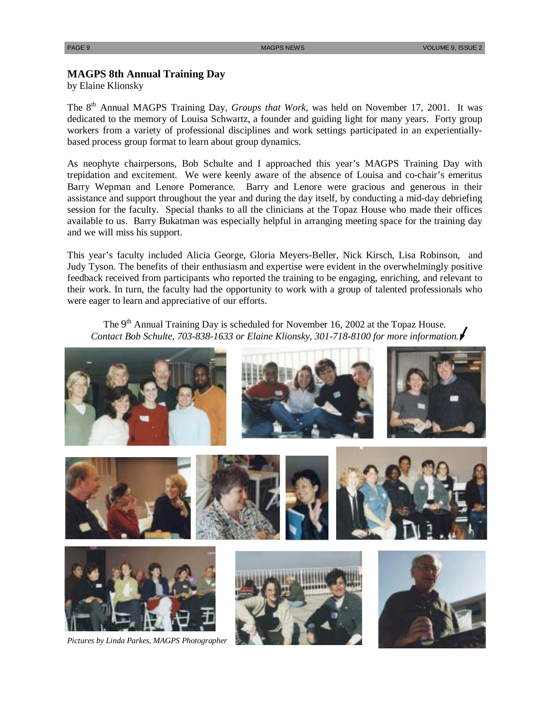### **MAGPS 8th Annual Training Day**

by Elaine Klionsky

The 8<sup>th</sup> Annual MAGPS Training Day, *Groups that Work*, was held on November 17, 2001. It was dedicated to the memory of Louisa Schwartz, a founder and guiding light for many years. Forty group workers from a variety of professional disciplines and work settings participated in an experientiallybased process group format to learn about group dynamics.

As neophyte chairpersons, Bob Schulte and I approached this year's MAGPS Training Day with trepidation and excitement. We were keenly aware of the absence of Louisa and co-chair's emeritus Barry Wepman and Lenore Pomerance. Barry and Lenore were gracious and generous in their assistance and support throughout the year and during the day itself, by conducting a mid-day debriefing session for the faculty. Special thanks to all the clinicians at the Topaz House who made their offices available to us. Barry Bukatman was especially helpful in arranging meeting space for the training day and we will miss his support.

This year's faculty included Alicia George, Gloria Meyers-Beller, Nick Kirsch, Lisa Robinson, and Judy Tyson. The benefits of their enthusiasm and expertise were evident in the overwhelmingly positive feedback received from participants who reported the training to be engaging, enriching, and relevant to their work. In turn, the faculty had the opportunity to work with a group of talented professionals who were eager to learn and appreciative of our efforts.

The 9<sup>th</sup> Annual Training Day is scheduled for November 16, 2002 at the Topaz House. *Contact Bob Schulte, 703-838-1633 or Elaine Klionsky, 301-718-8100 for more information.* 



*Pictures by Linda Parkes, MAGPS Photographer*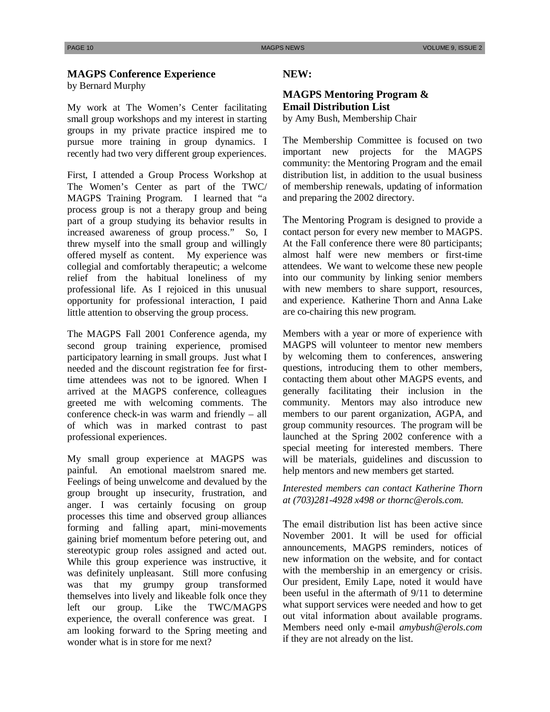### **MAGPS Conference Experience**  by Bernard Murphy

My work at The Women's Center facilitating small group workshops and my interest in starting groups in my private practice inspired me to pursue more training in group dynamics. I recently had two very different group experiences.

First, I attended a Group Process Workshop at The Women's Center as part of the TWC/ MAGPS Training Program. I learned that "a process group is not a therapy group and being part of a group studying its behavior results in increased awareness of group process." So, I threw myself into the small group and willingly offered myself as content. My experience was collegial and comfortably therapeutic; a welcome relief from the habitual loneliness of my professional life. As I rejoiced in this unusual opportunity for professional interaction, I paid little attention to observing the group process.

The MAGPS Fall 2001 Conference agenda, my second group training experience, promised participatory learning in small groups. Just what I needed and the discount registration fee for firsttime attendees was not to be ignored. When I arrived at the MAGPS conference, colleagues greeted me with welcoming comments. The conference check-in was warm and friendly – all of which was in marked contrast to past professional experiences.

My small group experience at MAGPS was painful. An emotional maelstrom snared me. Feelings of being unwelcome and devalued by the group brought up insecurity, frustration, and anger. I was certainly focusing on group processes this time and observed group alliances forming and falling apart, mini-movements gaining brief momentum before petering out, and stereotypic group roles assigned and acted out. While this group experience was instructive, it was definitely unpleasant. Still more confusing was that my grumpy group transformed themselves into lively and likeable folk once they left our group. Like the TWC/MAGPS experience, the overall conference was great. I am looking forward to the Spring meeting and wonder what is in store for me next?

### **NEW:**

### **MAGPS Mentoring Program & Email Distribution List**

by Amy Bush, Membership Chair

The Membership Committee is focused on two important new projects for the MAGPS community: the Mentoring Program and the email distribution list, in addition to the usual business of membership renewals, updating of information and preparing the 2002 directory.

The Mentoring Program is designed to provide a contact person for every new member to MAGPS. At the Fall conference there were 80 participants; almost half were new members or first-time attendees. We want to welcome these new people into our community by linking senior members with new members to share support, resources, and experience. Katherine Thorn and Anna Lake are co-chairing this new program.

Members with a year or more of experience with MAGPS will volunteer to mentor new members by welcoming them to conferences, answering questions, introducing them to other members, contacting them about other MAGPS events, and generally facilitating their inclusion in the community. Mentors may also introduce new members to our parent organization, AGPA, and group community resources. The program will be launched at the Spring 2002 conference with a special meeting for interested members. There will be materials, guidelines and discussion to help mentors and new members get started.

### *Interested members can contact Katherine Thorn at (703)281-4928 x498 or thornc@erols.com.*

The email distribution list has been active since November 2001. It will be used for official announcements, MAGPS reminders, notices of new information on the website, and for contact with the membership in an emergency or crisis. Our president, Emily Lape, noted it would have been useful in the aftermath of 9/11 to determine what support services were needed and how to get out vital information about available programs. Members need only e-mail *amybush@erols.com*  if they are not already on the list.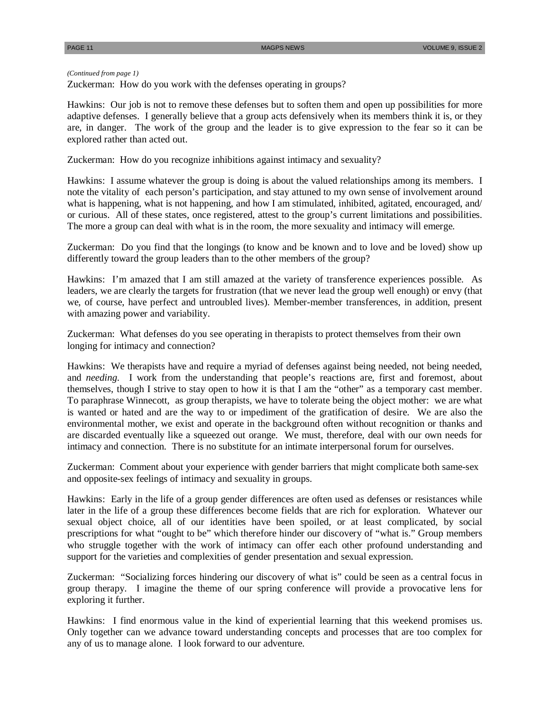### *(Continued from page 1)*

Zuckerman: How do you work with the defenses operating in groups?

Hawkins: Our job is not to remove these defenses but to soften them and open up possibilities for more adaptive defenses. I generally believe that a group acts defensively when its members think it is, or they are, in danger. The work of the group and the leader is to give expression to the fear so it can be explored rather than acted out.

Zuckerman: How do you recognize inhibitions against intimacy and sexuality?

Hawkins: I assume whatever the group is doing is about the valued relationships among its members. I note the vitality of each person's participation, and stay attuned to my own sense of involvement around what is happening, what is not happening, and how I am stimulated, inhibited, agitated, encouraged, and/ or curious. All of these states, once registered, attest to the group's current limitations and possibilities. The more a group can deal with what is in the room, the more sexuality and intimacy will emerge.

Zuckerman: Do you find that the longings (to know and be known and to love and be loved) show up differently toward the group leaders than to the other members of the group?

Hawkins: I'm amazed that I am still amazed at the variety of transference experiences possible. As leaders, we are clearly the targets for frustration (that we never lead the group well enough) or envy (that we, of course, have perfect and untroubled lives). Member-member transferences, in addition, present with amazing power and variability.

Zuckerman: What defenses do you see operating in therapists to protect themselves from their own longing for intimacy and connection?

Hawkins: We therapists have and require a myriad of defenses against being needed, not being needed, and *needing*. I work from the understanding that people's reactions are, first and foremost, about themselves, though I strive to stay open to how it is that I am the "other" as a temporary cast member. To paraphrase Winnecott, as group therapists, we have to tolerate being the object mother: we are what is wanted or hated and are the way to or impediment of the gratification of desire. We are also the environmental mother, we exist and operate in the background often without recognition or thanks and are discarded eventually like a squeezed out orange. We must, therefore, deal with our own needs for intimacy and connection. There is no substitute for an intimate interpersonal forum for ourselves.

Zuckerman: Comment about your experience with gender barriers that might complicate both same-sex and opposite-sex feelings of intimacy and sexuality in groups.

Hawkins: Early in the life of a group gender differences are often used as defenses or resistances while later in the life of a group these differences become fields that are rich for exploration. Whatever our sexual object choice, all of our identities have been spoiled, or at least complicated, by social prescriptions for what "ought to be" which therefore hinder our discovery of "what is." Group members who struggle together with the work of intimacy can offer each other profound understanding and support for the varieties and complexities of gender presentation and sexual expression.

Zuckerman: "Socializing forces hindering our discovery of what is" could be seen as a central focus in group therapy. I imagine the theme of our spring conference will provide a provocative lens for exploring it further.

Hawkins: I find enormous value in the kind of experiential learning that this weekend promises us. Only together can we advance toward understanding concepts and processes that are too complex for any of us to manage alone. I look forward to our adventure.